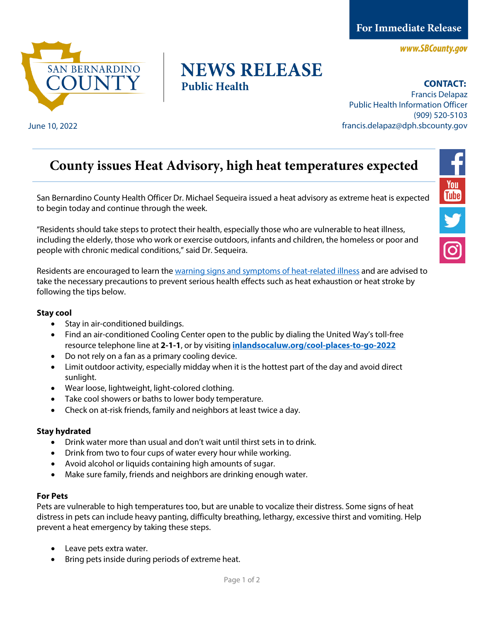**For Immediate Release** 

www.SBCounty.gov



## **NEWS RELEASE Public Health**

**CONTACT:** 

Francis Delapaz Public Health Information Officer (909) 520-5103 June 10, 2022 francis.delapaz@dph.sbcounty.gov

# **County issues Heat Advisory, high heat temperatures expected**

San Bernardino County Health Officer Dr. Michael Sequeira issued a heat advisory as extreme heat is expected to begin today and continue through the week.

"Residents should take steps to protect their health, especially those who are vulnerable to heat illness, including the elderly, those who work or exercise outdoors, infants and children, the homeless or poor and people with chronic medical conditions," said Dr. Sequeira.

Residents are encouraged to learn the [warning signs and symptoms of heat-related illness](https://www.cdc.gov/disasters/extremeheat/warning.html) and are advised to take the necessary precautions to prevent serious health effects such as heat exhaustion or heat stroke by following the tips below.

#### **Stay cool**

- Stay in air-conditioned buildings.
- Find an air-conditioned Cooling Center open to the public by dialing the United Way's toll-free resource telephone line at **2-1-1**, or by visiting **[inlandsocaluw.org/cool-places-to-go-2022](https://inlandsocaluw.org/cool-places-to-go-2022)**
- Do not rely on a fan as a primary cooling device.
- Limit outdoor activity, especially midday when it is the hottest part of the day and avoid direct sunlight.
- Wear loose, lightweight, light-colored clothing.
- Take cool showers or baths to lower body temperature.
- Check on at-risk friends, family and neighbors at least twice a day.

### **Stay hydrated**

- Drink water more than usual and don't wait until thirst sets in to drink.
- Drink from two to four cups of water every hour while working.
- Avoid alcohol or liquids containing high amounts of sugar.
- Make sure family, friends and neighbors are drinking enough water.

#### **For Pets**

Pets are vulnerable to high temperatures too, but are unable to vocalize their distress. Some signs of heat distress in pets can include heavy panting, difficulty breathing, lethargy, excessive thirst and vomiting. Help prevent a heat emergency by taking these steps.

- Leave pets extra water.
- Bring pets inside during periods of extreme heat.